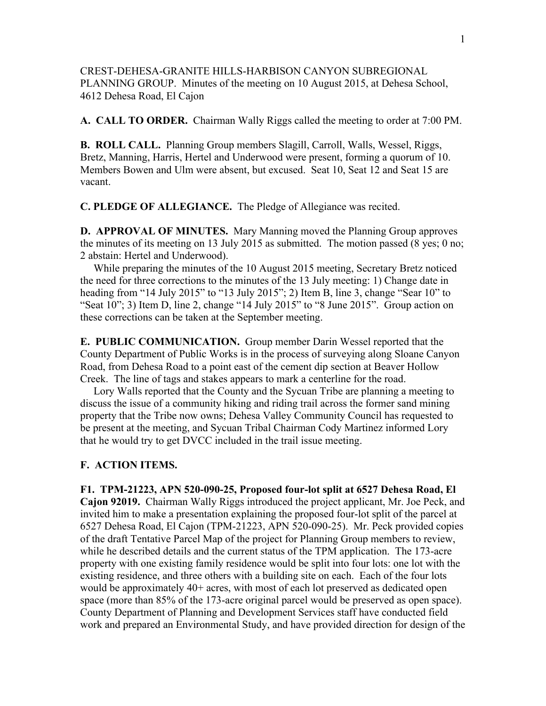CREST-DEHESA-GRANITE HILLS-HARBISON CANYON SUBREGIONAL PLANNING GROUP. Minutes of the meeting on 10 August 2015, at Dehesa School, 4612 Dehesa Road, El Cajon

**A. CALL TO ORDER.** Chairman Wally Riggs called the meeting to order at 7:00 PM.

**B. ROLL CALL.** Planning Group members Slagill, Carroll, Walls, Wessel, Riggs, Bretz, Manning, Harris, Hertel and Underwood were present, forming a quorum of 10. Members Bowen and Ulm were absent, but excused. Seat 10, Seat 12 and Seat 15 are vacant.

**C. PLEDGE OF ALLEGIANCE.** The Pledge of Allegiance was recited.

**D. APPROVAL OF MINUTES.** Mary Manning moved the Planning Group approves the minutes of its meeting on 13 July 2015 as submitted. The motion passed (8 yes; 0 no; 2 abstain: Hertel and Underwood).

 While preparing the minutes of the 10 August 2015 meeting, Secretary Bretz noticed the need for three corrections to the minutes of the 13 July meeting: 1) Change date in heading from "14 July 2015" to "13 July 2015"; 2) Item B, line 3, change "Sear 10" to "Seat  $10$ "; 3) Item D, line 2, change "14 July 2015" to "8 June 2015". Group action on these corrections can be taken at the September meeting.

**E. PUBLIC COMMUNICATION.** Group member Darin Wessel reported that the County Department of Public Works is in the process of surveying along Sloane Canyon Road, from Dehesa Road to a point east of the cement dip section at Beaver Hollow Creek. The line of tags and stakes appears to mark a centerline for the road.

 Lory Walls reported that the County and the Sycuan Tribe are planning a meeting to discuss the issue of a community hiking and riding trail across the former sand mining property that the Tribe now owns; Dehesa Valley Community Council has requested to be present at the meeting, and Sycuan Tribal Chairman Cody Martinez informed Lory that he would try to get DVCC included in the trail issue meeting.

### **F. ACTION ITEMS.**

**F1. TPM-21223, APN 520-090-25, Proposed four-lot split at 6527 Dehesa Road, El Cajon 92019.** Chairman Wally Riggs introduced the project applicant, Mr. Joe Peck, and invited him to make a presentation explaining the proposed four-lot split of the parcel at 6527 Dehesa Road, El Cajon (TPM-21223, APN 520-090-25). Mr. Peck provided copies of the draft Tentative Parcel Map of the project for Planning Group members to review, while he described details and the current status of the TPM application. The 173-acre property with one existing family residence would be split into four lots: one lot with the existing residence, and three others with a building site on each. Each of the four lots would be approximately 40+ acres, with most of each lot preserved as dedicated open space (more than 85% of the 173-acre original parcel would be preserved as open space). County Department of Planning and Development Services staff have conducted field work and prepared an Environmental Study, and have provided direction for design of the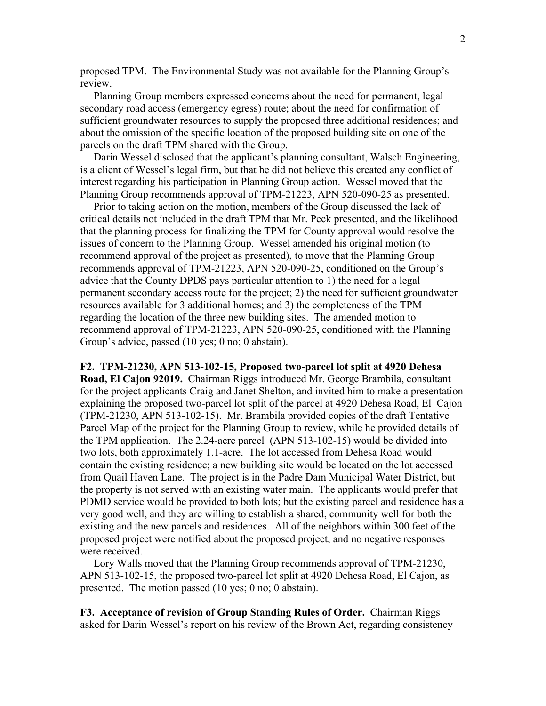proposed TPM. The Environmental Study was not available for the Planning Group's review.

 Planning Group members expressed concerns about the need for permanent, legal secondary road access (emergency egress) route; about the need for confirmation of sufficient groundwater resources to supply the proposed three additional residences; and about the omission of the specific location of the proposed building site on one of the parcels on the draft TPM shared with the Group.

 Darin Wessel disclosed that the applicant's planning consultant, Walsch Engineering, is a client of Wessel's legal firm, but that he did not believe this created any conflict of interest regarding his participation in Planning Group action. Wessel moved that the Planning Group recommends approval of TPM-21223, APN 520-090-25 as presented.

 Prior to taking action on the motion, members of the Group discussed the lack of critical details not included in the draft TPM that Mr. Peck presented, and the likelihood that the planning process for finalizing the TPM for County approval would resolve the issues of concern to the Planning Group. Wessel amended his original motion (to recommend approval of the project as presented), to move that the Planning Group recommends approval of TPM-21223, APN 520-090-25, conditioned on the Group's advice that the County DPDS pays particular attention to 1) the need for a legal permanent secondary access route for the project; 2) the need for sufficient groundwater resources available for 3 additional homes; and 3) the completeness of the TPM regarding the location of the three new building sites. The amended motion to recommend approval of TPM-21223, APN 520-090-25, conditioned with the Planning Group's advice, passed (10 yes; 0 no; 0 abstain).

**F2. TPM-21230, APN 513-102-15, Proposed two-parcel lot split at 4920 Dehesa** 

**Road, El Cajon 92019.** Chairman Riggs introduced Mr. George Brambila, consultant for the project applicants Craig and Janet Shelton, and invited him to make a presentation explaining the proposed two-parcel lot split of the parcel at 4920 Dehesa Road, El Cajon (TPM-21230, APN 513-102-15). Mr. Brambila provided copies of the draft Tentative Parcel Map of the project for the Planning Group to review, while he provided details of the TPM application. The 2.24-acre parcel (APN 513-102-15) would be divided into two lots, both approximately 1.1-acre. The lot accessed from Dehesa Road would contain the existing residence; a new building site would be located on the lot accessed from Quail Haven Lane. The project is in the Padre Dam Municipal Water District, but the property is not served with an existing water main. The applicants would prefer that PDMD service would be provided to both lots; but the existing parcel and residence has a very good well, and they are willing to establish a shared, community well for both the existing and the new parcels and residences. All of the neighbors within 300 feet of the proposed project were notified about the proposed project, and no negative responses were received.

 Lory Walls moved that the Planning Group recommends approval of TPM-21230, APN 513-102-15, the proposed two-parcel lot split at 4920 Dehesa Road, El Cajon, as presented. The motion passed (10 yes; 0 no; 0 abstain).

**F3. Acceptance of revision of Group Standing Rules of Order.** Chairman Riggs asked for Darin Wessel's report on his review of the Brown Act, regarding consistency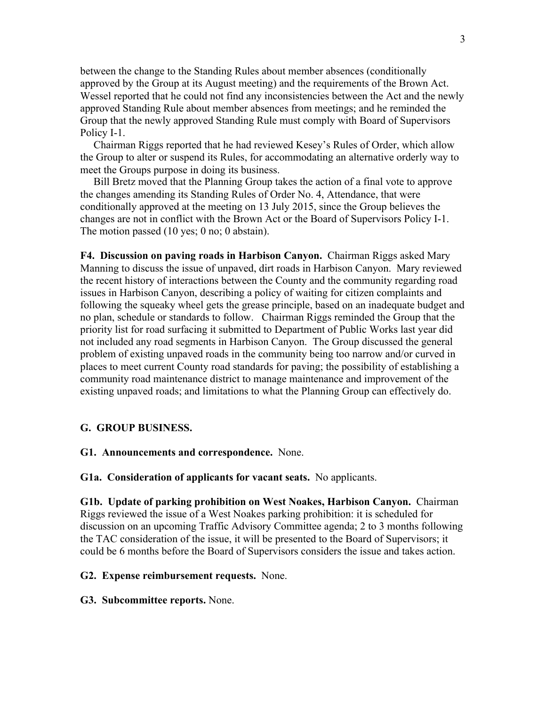between the change to the Standing Rules about member absences (conditionally approved by the Group at its August meeting) and the requirements of the Brown Act. Wessel reported that he could not find any inconsistencies between the Act and the newly approved Standing Rule about member absences from meetings; and he reminded the Group that the newly approved Standing Rule must comply with Board of Supervisors Policy I-1.

 Chairman Riggs reported that he had reviewed Kesey's Rules of Order, which allow the Group to alter or suspend its Rules, for accommodating an alternative orderly way to meet the Groups purpose in doing its business.

 Bill Bretz moved that the Planning Group takes the action of a final vote to approve the changes amending its Standing Rules of Order No. 4, Attendance, that were conditionally approved at the meeting on 13 July 2015, since the Group believes the changes are not in conflict with the Brown Act or the Board of Supervisors Policy I-1. The motion passed (10 yes; 0 no; 0 abstain).

**F4. Discussion on paving roads in Harbison Canyon.** Chairman Riggs asked Mary Manning to discuss the issue of unpaved, dirt roads in Harbison Canyon. Mary reviewed the recent history of interactions between the County and the community regarding road issues in Harbison Canyon, describing a policy of waiting for citizen complaints and following the squeaky wheel gets the grease principle, based on an inadequate budget and no plan, schedule or standards to follow. Chairman Riggs reminded the Group that the priority list for road surfacing it submitted to Department of Public Works last year did not included any road segments in Harbison Canyon. The Group discussed the general problem of existing unpaved roads in the community being too narrow and/or curved in places to meet current County road standards for paving; the possibility of establishing a community road maintenance district to manage maintenance and improvement of the existing unpaved roads; and limitations to what the Planning Group can effectively do.

## **G. GROUP BUSINESS.**

## **G1. Announcements and correspondence.** None.

**G1a. Consideration of applicants for vacant seats.** No applicants.

**G1b. Update of parking prohibition on West Noakes, Harbison Canyon.** Chairman Riggs reviewed the issue of a West Noakes parking prohibition: it is scheduled for discussion on an upcoming Traffic Advisory Committee agenda; 2 to 3 months following the TAC consideration of the issue, it will be presented to the Board of Supervisors; it could be 6 months before the Board of Supervisors considers the issue and takes action.

# **G2. Expense reimbursement requests.** None.

#### **G3. Subcommittee reports.** None.